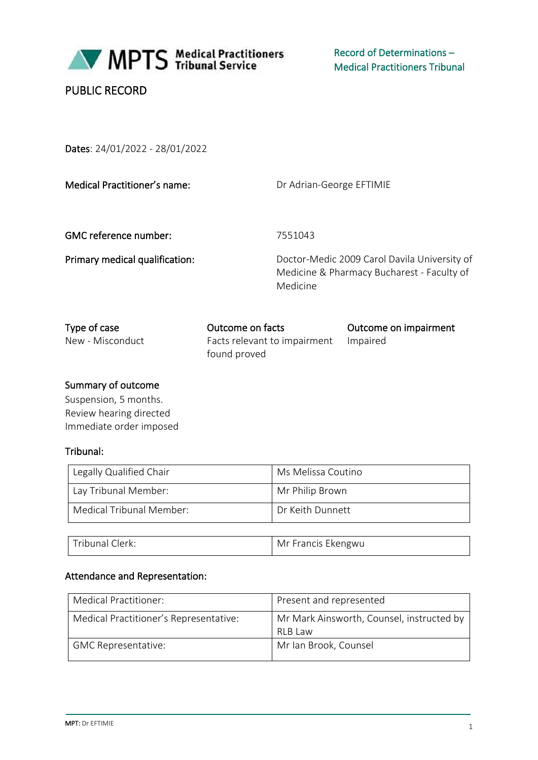

MPTS Medical Practitioners

Record of Determinations – Medical Practitioners Tribunal

# PUBLIC RECORD

Dates: 24/01/2022 - 28/01/2022

Medical Practitioner's name: Dr Adrian-George EFTIMIE

GMC reference number: 7551043

Primary medical qualification: Doctor-Medic 2009 Carol Davila University of Medicine & Pharmacy Bucharest - Faculty of Medicine

| Type of case     | Outcome on facts                      | Outcome on impairment |
|------------------|---------------------------------------|-----------------------|
| New - Misconduct | Facts relevant to impairment Impaired |                       |
|                  | found proved                          |                       |

### Summary of outcome

Suspension, 5 months. Review hearing directed Immediate order imposed

## Tribunal:

| Legally Qualified Chair  | Ms Melissa Coutino |
|--------------------------|--------------------|
| Lay Tribunal Member:     | Mr Philip Brown    |
| Medical Tribunal Member: | Dr Keith Dunnett   |
|                          |                    |

Tribunal Clerk: Mr Francis Ekengwu

| Attendance and Representation: |  |
|--------------------------------|--|
|                                |  |

| Medical Practitioner:                  | Present and represented                                |
|----------------------------------------|--------------------------------------------------------|
| Medical Practitioner's Representative: | Mr Mark Ainsworth, Counsel, instructed by<br>RI B I aw |
| <b>GMC Representative:</b>             | Mr Ian Brook, Counsel                                  |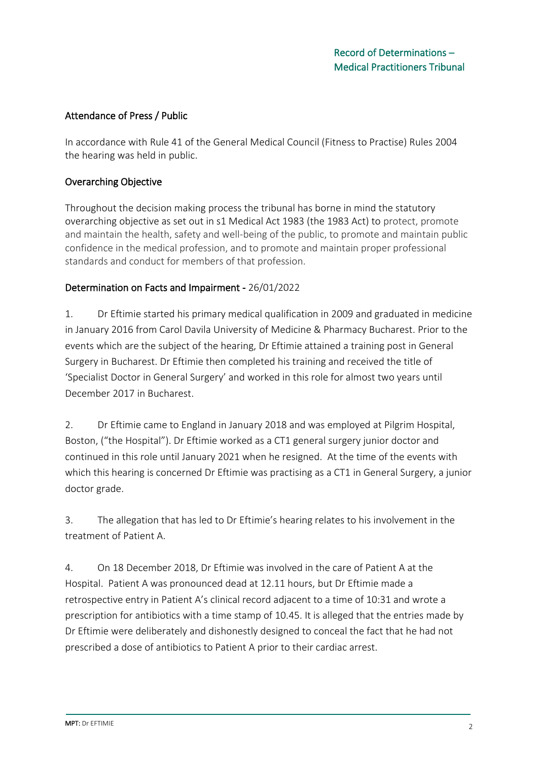### Attendance of Press / Public

In accordance with Rule 41 of the General Medical Council (Fitness to Practise) Rules 2004 the hearing was held in public.

### Overarching Objective

Throughout the decision making process the tribunal has borne in mind the statutory overarching objective as set out in s1 Medical Act 1983 (the 1983 Act) to protect, promote and maintain the health, safety and well-being of the public, to promote and maintain public confidence in the medical profession, and to promote and maintain proper professional standards and conduct for members of that profession.

### Determination on Facts and Impairment - 26/01/2022

1. Dr Eftimie started his primary medical qualification in 2009 and graduated in medicine in January 2016 from Carol Davila University of Medicine & Pharmacy Bucharest. Prior to the events which are the subject of the hearing, Dr Eftimie attained a training post in General Surgery in Bucharest. Dr Eftimie then completed his training and received the title of 'Specialist Doctor in General Surgery' and worked in this role for almost two years until December 2017 in Bucharest.

2. Dr Eftimie came to England in January 2018 and was employed at Pilgrim Hospital, Boston, ("the Hospital"). Dr Eftimie worked as a CT1 general surgery junior doctor and continued in this role until January 2021 when he resigned. At the time of the events with which this hearing is concerned Dr Eftimie was practising as a CT1 in General Surgery, a junior doctor grade.

3. The allegation that has led to Dr Eftimie's hearing relates to his involvement in the treatment of Patient A.

4. On 18 December 2018, Dr Eftimie was involved in the care of Patient A at the Hospital. Patient A was pronounced dead at 12.11 hours, but Dr Eftimie made a retrospective entry in Patient A's clinical record adjacent to a time of 10:31 and wrote a prescription for antibiotics with a time stamp of 10.45. It is alleged that the entries made by Dr Eftimie were deliberately and dishonestly designed to conceal the fact that he had not prescribed a dose of antibiotics to Patient A prior to their cardiac arrest.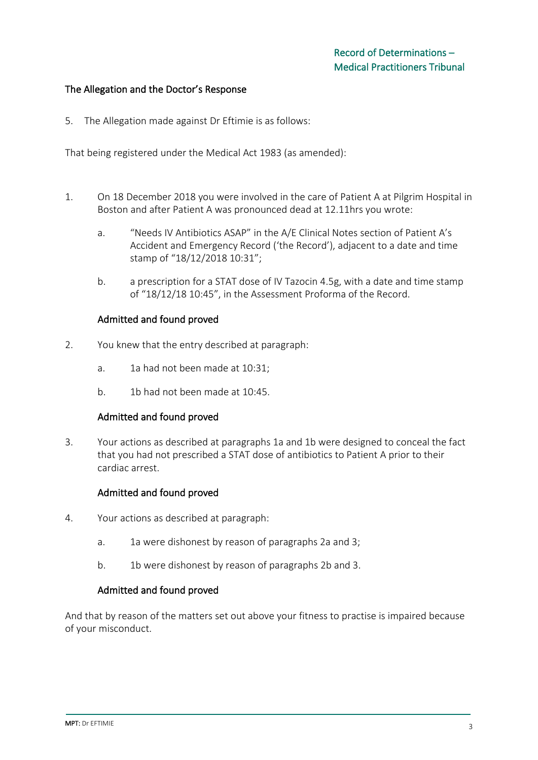#### The Allegation and the Doctor's Response

5. The Allegation made against Dr Eftimie is as follows:

That being registered under the Medical Act 1983 (as amended):

- 1. On 18 December 2018 you were involved in the care of Patient A at Pilgrim Hospital in Boston and after Patient A was pronounced dead at 12.11hrs you wrote:
	- a. "Needs IV Antibiotics ASAP" in the A/E Clinical Notes section of Patient A's Accident and Emergency Record ('the Record'), adjacent to a date and time stamp of "18/12/2018 10:31";
	- b. a prescription for a STAT dose of IV Tazocin 4.5g, with a date and time stamp of "18/12/18 10:45", in the Assessment Proforma of the Record.

#### Admitted and found proved

- 2. You knew that the entry described at paragraph:
	- a. 1a had not been made at 10:31;
	- b. 1b had not been made at 10:45.

#### Admitted and found proved

3. Your actions as described at paragraphs 1a and 1b were designed to conceal the fact that you had not prescribed a STAT dose of antibiotics to Patient A prior to their cardiac arrest.

#### Admitted and found proved

- 4. Your actions as described at paragraph:
	- a. 1a were dishonest by reason of paragraphs 2a and 3;
	- b. 1b were dishonest by reason of paragraphs 2b and 3.

#### Admitted and found proved

And that by reason of the matters set out above your fitness to practise is impaired because of your misconduct.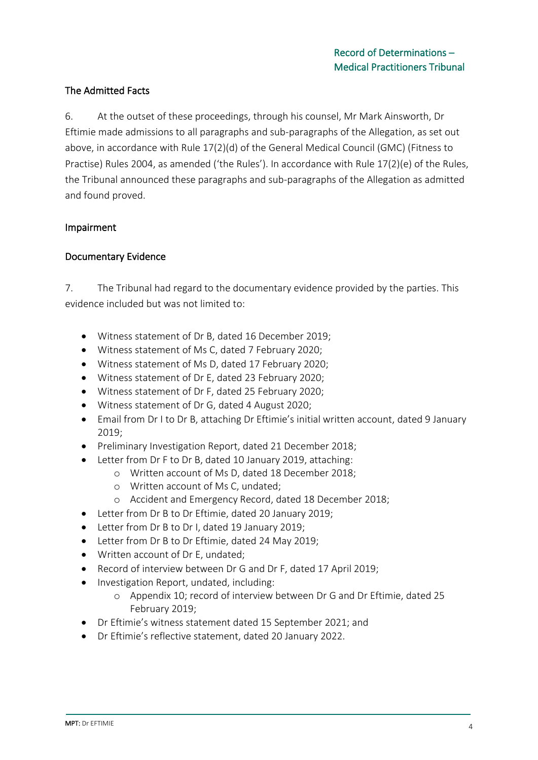## The Admitted Facts

6. At the outset of these proceedings, through his counsel, Mr Mark Ainsworth, Dr Eftimie made admissions to all paragraphs and sub-paragraphs of the Allegation, as set out above, in accordance with Rule 17(2)(d) of the General Medical Council (GMC) (Fitness to Practise) Rules 2004, as amended ('the Rules'). In accordance with Rule 17(2)(e) of the Rules, the Tribunal announced these paragraphs and sub-paragraphs of the Allegation as admitted and found proved.

### Impairment

### Documentary Evidence

7. The Tribunal had regard to the documentary evidence provided by the parties. This evidence included but was not limited to:

- Witness statement of Dr B, dated 16 December 2019;
- Witness statement of Ms C, dated 7 February 2020;
- Witness statement of Ms D, dated 17 February 2020;
- Witness statement of Dr E, dated 23 February 2020;
- Witness statement of Dr F, dated 25 February 2020;
- Witness statement of Dr G, dated 4 August 2020;
- Email from Dr I to Dr B, attaching Dr Eftimie's initial written account, dated 9 January 2019;
- Preliminary Investigation Report, dated 21 December 2018;
- Letter from Dr F to Dr B, dated 10 January 2019, attaching:
	- o Written account of Ms D, dated 18 December 2018;
	- o Written account of Ms C, undated;
	- o Accident and Emergency Record, dated 18 December 2018;
- Letter from Dr B to Dr Eftimie, dated 20 January 2019;
- Letter from Dr B to Dr I, dated 19 January 2019;
- Letter from Dr B to Dr Eftimie, dated 24 May 2019;
- Written account of Dr E, undated;
- Record of interview between Dr G and Dr F, dated 17 April 2019;
- Investigation Report, undated, including:
	- o Appendix 10; record of interview between Dr G and Dr Eftimie, dated 25 February 2019;
- Dr Eftimie's witness statement dated 15 September 2021; and
- Dr Eftimie's reflective statement, dated 20 January 2022.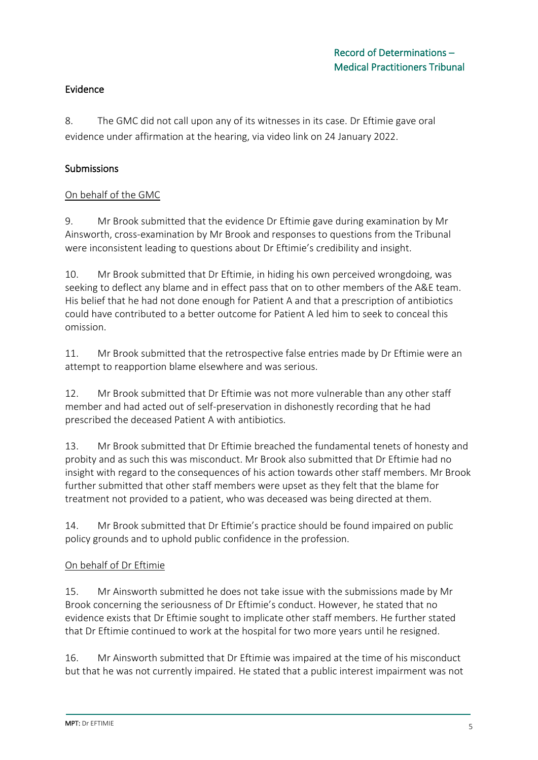## Evidence

8. The GMC did not call upon any of its witnesses in its case. Dr Eftimie gave oral evidence under affirmation at the hearing, via video link on 24 January 2022.

## Submissions

## On behalf of the GMC

9. Mr Brook submitted that the evidence Dr Eftimie gave during examination by Mr Ainsworth, cross-examination by Mr Brook and responses to questions from the Tribunal were inconsistent leading to questions about Dr Eftimie's credibility and insight.

10. Mr Brook submitted that Dr Eftimie, in hiding his own perceived wrongdoing, was seeking to deflect any blame and in effect pass that on to other members of the A&E team. His belief that he had not done enough for Patient A and that a prescription of antibiotics could have contributed to a better outcome for Patient A led him to seek to conceal this omission.

11. Mr Brook submitted that the retrospective false entries made by Dr Eftimie were an attempt to reapportion blame elsewhere and was serious.

12. Mr Brook submitted that Dr Eftimie was not more vulnerable than any other staff member and had acted out of self-preservation in dishonestly recording that he had prescribed the deceased Patient A with antibiotics.

13. Mr Brook submitted that Dr Eftimie breached the fundamental tenets of honesty and probity and as such this was misconduct. Mr Brook also submitted that Dr Eftimie had no insight with regard to the consequences of his action towards other staff members. Mr Brook further submitted that other staff members were upset as they felt that the blame for treatment not provided to a patient, who was deceased was being directed at them.

14. Mr Brook submitted that Dr Eftimie's practice should be found impaired on public policy grounds and to uphold public confidence in the profession.

### On behalf of Dr Eftimie

15. Mr Ainsworth submitted he does not take issue with the submissions made by Mr Brook concerning the seriousness of Dr Eftimie's conduct. However, he stated that no evidence exists that Dr Eftimie sought to implicate other staff members. He further stated that Dr Eftimie continued to work at the hospital for two more years until he resigned.

16. Mr Ainsworth submitted that Dr Eftimie was impaired at the time of his misconduct but that he was not currently impaired. He stated that a public interest impairment was not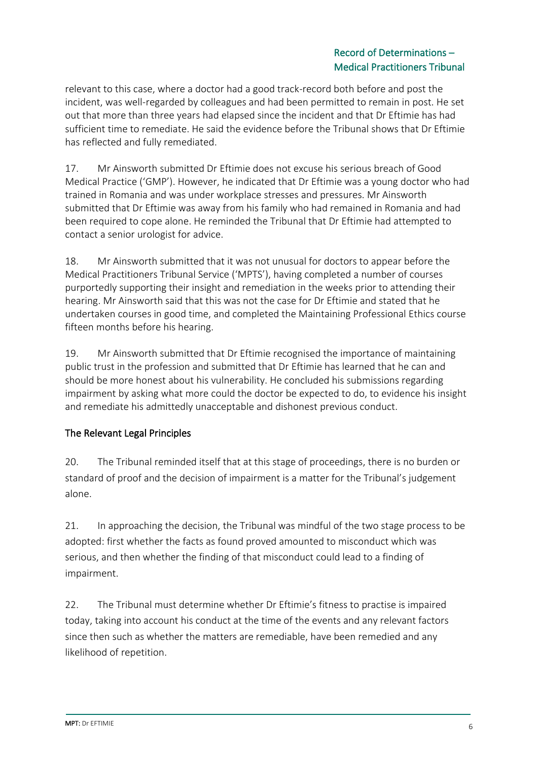relevant to this case, where a doctor had a good track-record both before and post the incident, was well-regarded by colleagues and had been permitted to remain in post. He set out that more than three years had elapsed since the incident and that Dr Eftimie has had sufficient time to remediate. He said the evidence before the Tribunal shows that Dr Eftimie has reflected and fully remediated.

17. Mr Ainsworth submitted Dr Eftimie does not excuse his serious breach of Good Medical Practice ('GMP'). However, he indicated that Dr Eftimie was a young doctor who had trained in Romania and was under workplace stresses and pressures. Mr Ainsworth submitted that Dr Eftimie was away from his family who had remained in Romania and had been required to cope alone. He reminded the Tribunal that Dr Eftimie had attempted to contact a senior urologist for advice.

18. Mr Ainsworth submitted that it was not unusual for doctors to appear before the Medical Practitioners Tribunal Service ('MPTS'), having completed a number of courses purportedly supporting their insight and remediation in the weeks prior to attending their hearing. Mr Ainsworth said that this was not the case for Dr Eftimie and stated that he undertaken courses in good time, and completed the Maintaining Professional Ethics course fifteen months before his hearing.

19. Mr Ainsworth submitted that Dr Eftimie recognised the importance of maintaining public trust in the profession and submitted that Dr Eftimie has learned that he can and should be more honest about his vulnerability. He concluded his submissions regarding impairment by asking what more could the doctor be expected to do, to evidence his insight and remediate his admittedly unacceptable and dishonest previous conduct.

# The Relevant Legal Principles

20. The Tribunal reminded itself that at this stage of proceedings, there is no burden or standard of proof and the decision of impairment is a matter for the Tribunal's judgement alone.

21. In approaching the decision, the Tribunal was mindful of the two stage process to be adopted: first whether the facts as found proved amounted to misconduct which was serious, and then whether the finding of that misconduct could lead to a finding of impairment.

22. The Tribunal must determine whether Dr Eftimie's fitness to practise is impaired today, taking into account his conduct at the time of the events and any relevant factors since then such as whether the matters are remediable, have been remedied and any likelihood of repetition.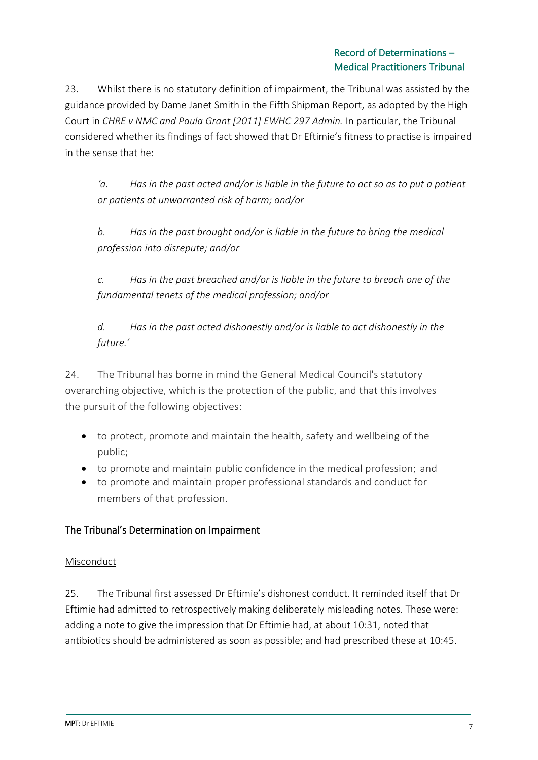23. Whilst there is no statutory definition of impairment, the Tribunal was assisted by the guidance provided by Dame Janet Smith in the Fifth Shipman Report, as adopted by the High Court in *CHRE v NMC and Paula Grant [2011] EWHC 297 Admin.* In particular, the Tribunal considered whether its findings of fact showed that Dr Eftimie's fitness to practise is impaired in the sense that he:

*'a. Has in the past acted and/or is liable in the future to act so as to put a patient or patients at unwarranted risk of harm; and/or*

*b. Has in the past brought and/or is liable in the future to bring the medical profession into disrepute; and/or*

*c. Has in the past breached and/or is liable in the future to breach one of the fundamental tenets of the medical profession; and/or*

*d. Has in the past acted dishonestly and/or is liable to act dishonestly in the future.'*

24. The Tribunal has borne in mind the General Medical Council's statutory overarching objective, which is the protection of the public, and that this involves the pursuit of the following objectives:

- to protect, promote and maintain the health, safety and wellbeing of the public;
- to promote and maintain public confidence in the medical profession; and
- to promote and maintain proper professional standards and conduct for members of that profession.

# The Tribunal's Determination on Impairment

# Misconduct

25. The Tribunal first assessed Dr Eftimie's dishonest conduct. It reminded itself that Dr Eftimie had admitted to retrospectively making deliberately misleading notes. These were: adding a note to give the impression that Dr Eftimie had, at about 10:31, noted that antibiotics should be administered as soon as possible; and had prescribed these at 10:45.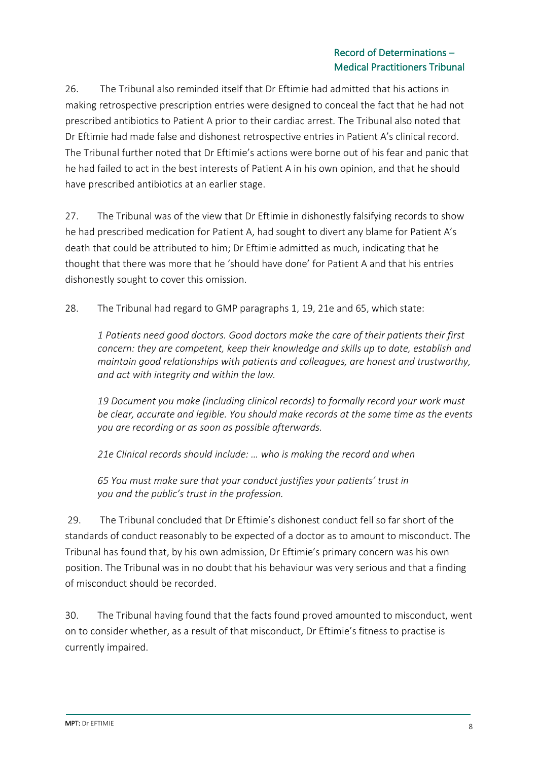26. The Tribunal also reminded itself that Dr Eftimie had admitted that his actions in making retrospective prescription entries were designed to conceal the fact that he had not prescribed antibiotics to Patient A prior to their cardiac arrest. The Tribunal also noted that Dr Eftimie had made false and dishonest retrospective entries in Patient A's clinical record. The Tribunal further noted that Dr Eftimie's actions were borne out of his fear and panic that he had failed to act in the best interests of Patient A in his own opinion, and that he should have prescribed antibiotics at an earlier stage.

27. The Tribunal was of the view that Dr Eftimie in dishonestly falsifying records to show he had prescribed medication for Patient A, had sought to divert any blame for Patient A's death that could be attributed to him; Dr Eftimie admitted as much, indicating that he thought that there was more that he 'should have done' for Patient A and that his entries dishonestly sought to cover this omission.

28. The Tribunal had regard to GMP paragraphs 1, 19, 21e and 65, which state:

*1 Patients need good doctors. Good doctors make the care of their patients their first concern: they are competent, keep their knowledge and skills up to date, establish and maintain good relationships with patients and colleagues, are honest and trustworthy, and act with integrity and within the law.* 

*19 Document you make (including clinical records) to formally record your work must be clear, accurate and legible. You should make records at the same time as the events you are recording or as soon as possible afterwards.*

*21e Clinical records should include: … who is making the record and when*

*65 You must make sure that your conduct justifies your patients' trust in you and the public's trust in the profession.*

29. The Tribunal concluded that Dr Eftimie's dishonest conduct fell so far short of the standards of conduct reasonably to be expected of a doctor as to amount to misconduct. The Tribunal has found that, by his own admission, Dr Eftimie's primary concern was his own position. The Tribunal was in no doubt that his behaviour was very serious and that a finding of misconduct should be recorded.

30. The Tribunal having found that the facts found proved amounted to misconduct, went on to consider whether, as a result of that misconduct, Dr Eftimie's fitness to practise is currently impaired.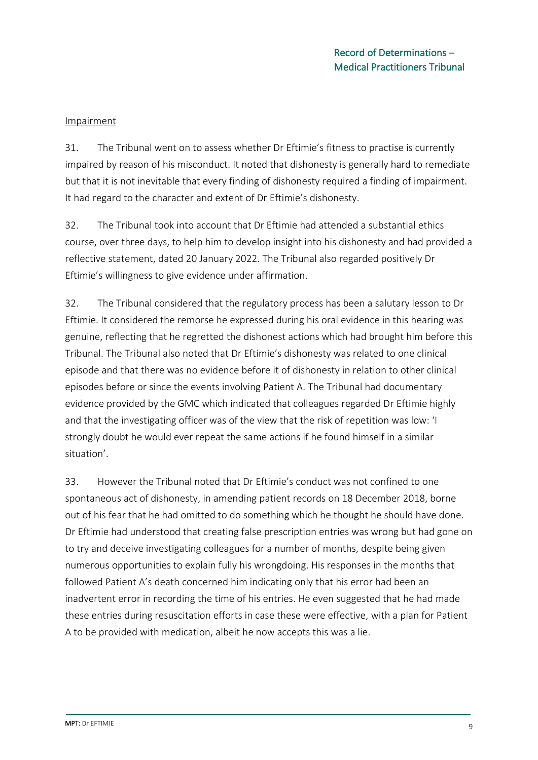#### Impairment

31. The Tribunal went on to assess whether Dr Eftimie's fitness to practise is currently impaired by reason of his misconduct. It noted that dishonesty is generally hard to remediate but that it is not inevitable that every finding of dishonesty required a finding of impairment. It had regard to the character and extent of Dr Eftimie's dishonesty.

32. The Tribunal took into account that Dr Eftimie had attended a substantial ethics course, over three days, to help him to develop insight into his dishonesty and had provided a reflective statement, dated 20 January 2022. The Tribunal also regarded positively Dr Eftimie's willingness to give evidence under affirmation.

32. The Tribunal considered that the regulatory process has been a salutary lesson to Dr Eftimie. It considered the remorse he expressed during his oral evidence in this hearing was genuine, reflecting that he regretted the dishonest actions which had brought him before this Tribunal. The Tribunal also noted that Dr Eftimie's dishonesty was related to one clinical episode and that there was no evidence before it of dishonesty in relation to other clinical episodes before or since the events involving Patient A. The Tribunal had documentary evidence provided by the GMC which indicated that colleagues regarded Dr Eftimie highly and that the investigating officer was of the view that the risk of repetition was low: 'I strongly doubt he would ever repeat the same actions if he found himself in a similar situation'.

33. However the Tribunal noted that Dr Eftimie's conduct was not confined to one spontaneous act of dishonesty, in amending patient records on 18 December 2018, borne out of his fear that he had omitted to do something which he thought he should have done. Dr Eftimie had understood that creating false prescription entries was wrong but had gone on to try and deceive investigating colleagues for a number of months, despite being given numerous opportunities to explain fully his wrongdoing. His responses in the months that followed Patient A's death concerned him indicating only that his error had been an inadvertent error in recording the time of his entries. He even suggested that he had made these entries during resuscitation efforts in case these were effective, with a plan for Patient A to be provided with medication, albeit he now accepts this was a lie.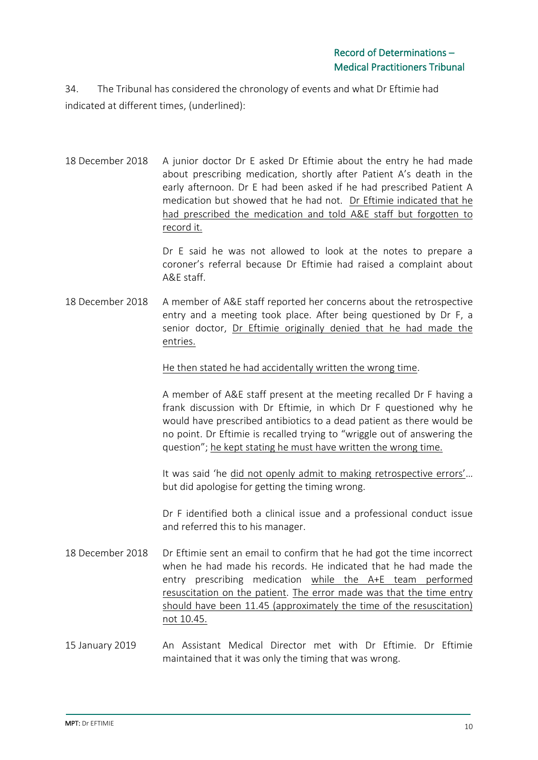34. The Tribunal has considered the chronology of events and what Dr Eftimie had indicated at different times, (underlined):

18 December 2018 A junior doctor Dr E asked Dr Eftimie about the entry he had made about prescribing medication, shortly after Patient A's death in the early afternoon. Dr E had been asked if he had prescribed Patient A medication but showed that he had not. Dr Eftimie indicated that he had prescribed the medication and told A&E staff but forgotten to record it.

> Dr E said he was not allowed to look at the notes to prepare a coroner's referral because Dr Eftimie had raised a complaint about A&E staff.

18 December 2018 A member of A&E staff reported her concerns about the retrospective entry and a meeting took place. After being questioned by Dr F, a senior doctor, Dr Eftimie originally denied that he had made the entries.

He then stated he had accidentally written the wrong time.

A member of A&E staff present at the meeting recalled Dr F having a frank discussion with Dr Eftimie, in which Dr F questioned why he would have prescribed antibiotics to a dead patient as there would be no point. Dr Eftimie is recalled trying to "wriggle out of answering the question"; he kept stating he must have written the wrong time.

It was said 'he did not openly admit to making retrospective errors'… but did apologise for getting the timing wrong.

Dr F identified both a clinical issue and a professional conduct issue and referred this to his manager.

- 18 December 2018 Dr Eftimie sent an email to confirm that he had got the time incorrect when he had made his records. He indicated that he had made the entry prescribing medication while the A+E team performed resuscitation on the patient. The error made was that the time entry should have been 11.45 (approximately the time of the resuscitation) not 10.45.
- 15 January 2019 An Assistant Medical Director met with Dr Eftimie. Dr Eftimie maintained that it was only the timing that was wrong.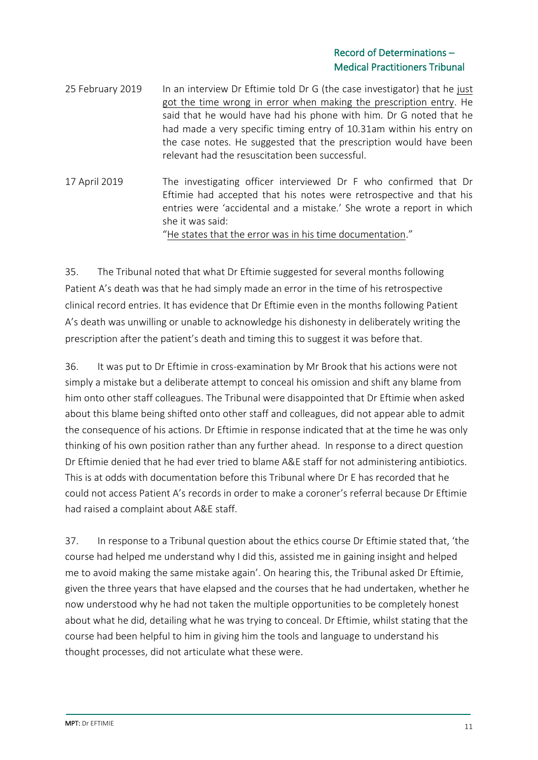- 25 February 2019 In an interview Dr Eftimie told Dr G (the case investigator) that he just got the time wrong in error when making the prescription entry. He said that he would have had his phone with him. Dr G noted that he had made a very specific timing entry of 10.31am within his entry on the case notes. He suggested that the prescription would have been relevant had the resuscitation been successful.
- 17 April 2019 The investigating officer interviewed Dr F who confirmed that Dr Eftimie had accepted that his notes were retrospective and that his entries were 'accidental and a mistake.' She wrote a report in which she it was said:

"He states that the error was in his time documentation."

35. The Tribunal noted that what Dr Eftimie suggested for several months following Patient A's death was that he had simply made an error in the time of his retrospective clinical record entries. It has evidence that Dr Eftimie even in the months following Patient A's death was unwilling or unable to acknowledge his dishonesty in deliberately writing the prescription after the patient's death and timing this to suggest it was before that.

36. It was put to Dr Eftimie in cross-examination by Mr Brook that his actions were not simply a mistake but a deliberate attempt to conceal his omission and shift any blame from him onto other staff colleagues. The Tribunal were disappointed that Dr Eftimie when asked about this blame being shifted onto other staff and colleagues, did not appear able to admit the consequence of his actions. Dr Eftimie in response indicated that at the time he was only thinking of his own position rather than any further ahead. In response to a direct question Dr Eftimie denied that he had ever tried to blame A&E staff for not administering antibiotics. This is at odds with documentation before this Tribunal where Dr E has recorded that he could not access Patient A's records in order to make a coroner's referral because Dr Eftimie had raised a complaint about A&E staff.

37. In response to a Tribunal question about the ethics course Dr Eftimie stated that, 'the course had helped me understand why I did this, assisted me in gaining insight and helped me to avoid making the same mistake again'. On hearing this, the Tribunal asked Dr Eftimie, given the three years that have elapsed and the courses that he had undertaken, whether he now understood why he had not taken the multiple opportunities to be completely honest about what he did, detailing what he was trying to conceal. Dr Eftimie, whilst stating that the course had been helpful to him in giving him the tools and language to understand his thought processes, did not articulate what these were.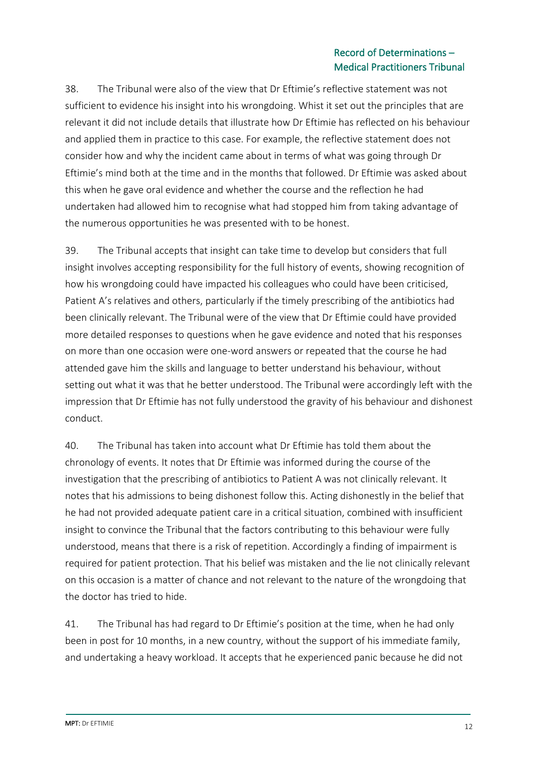38. The Tribunal were also of the view that Dr Eftimie's reflective statement was not sufficient to evidence his insight into his wrongdoing. Whist it set out the principles that are relevant it did not include details that illustrate how Dr Eftimie has reflected on his behaviour and applied them in practice to this case. For example, the reflective statement does not consider how and why the incident came about in terms of what was going through Dr Eftimie's mind both at the time and in the months that followed. Dr Eftimie was asked about this when he gave oral evidence and whether the course and the reflection he had undertaken had allowed him to recognise what had stopped him from taking advantage of the numerous opportunities he was presented with to be honest.

39. The Tribunal accepts that insight can take time to develop but considers that full insight involves accepting responsibility for the full history of events, showing recognition of how his wrongdoing could have impacted his colleagues who could have been criticised, Patient A's relatives and others, particularly if the timely prescribing of the antibiotics had been clinically relevant. The Tribunal were of the view that Dr Eftimie could have provided more detailed responses to questions when he gave evidence and noted that his responses on more than one occasion were one-word answers or repeated that the course he had attended gave him the skills and language to better understand his behaviour, without setting out what it was that he better understood. The Tribunal were accordingly left with the impression that Dr Eftimie has not fully understood the gravity of his behaviour and dishonest conduct.

40. The Tribunal has taken into account what Dr Eftimie has told them about the chronology of events. It notes that Dr Eftimie was informed during the course of the investigation that the prescribing of antibiotics to Patient A was not clinically relevant. It notes that his admissions to being dishonest follow this. Acting dishonestly in the belief that he had not provided adequate patient care in a critical situation, combined with insufficient insight to convince the Tribunal that the factors contributing to this behaviour were fully understood, means that there is a risk of repetition. Accordingly a finding of impairment is required for patient protection. That his belief was mistaken and the lie not clinically relevant on this occasion is a matter of chance and not relevant to the nature of the wrongdoing that the doctor has tried to hide.

41. The Tribunal has had regard to Dr Eftimie's position at the time, when he had only been in post for 10 months, in a new country, without the support of his immediate family, and undertaking a heavy workload. It accepts that he experienced panic because he did not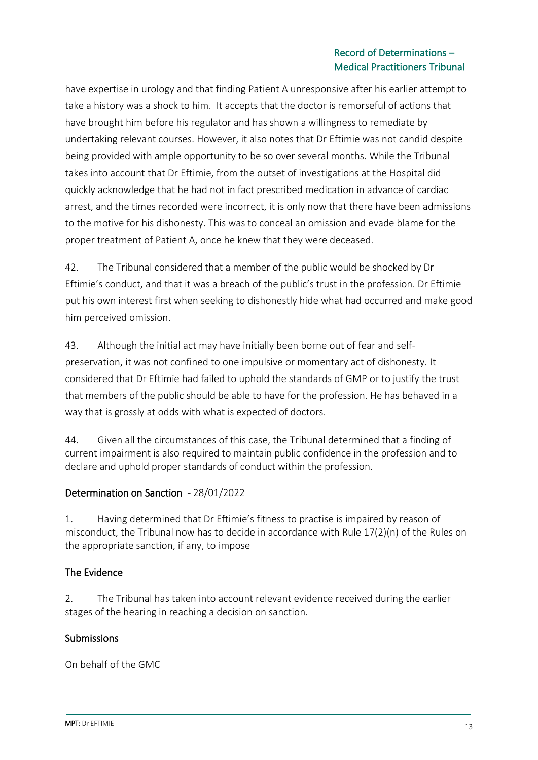have expertise in urology and that finding Patient A unresponsive after his earlier attempt to take a history was a shock to him. It accepts that the doctor is remorseful of actions that have brought him before his regulator and has shown a willingness to remediate by undertaking relevant courses. However, it also notes that Dr Eftimie was not candid despite being provided with ample opportunity to be so over several months. While the Tribunal takes into account that Dr Eftimie, from the outset of investigations at the Hospital did quickly acknowledge that he had not in fact prescribed medication in advance of cardiac arrest, and the times recorded were incorrect, it is only now that there have been admissions to the motive for his dishonesty. This was to conceal an omission and evade blame for the proper treatment of Patient A, once he knew that they were deceased.

42. The Tribunal considered that a member of the public would be shocked by Dr Eftimie's conduct, and that it was a breach of the public's trust in the profession. Dr Eftimie put his own interest first when seeking to dishonestly hide what had occurred and make good him perceived omission.

43. Although the initial act may have initially been borne out of fear and selfpreservation, it was not confined to one impulsive or momentary act of dishonesty. It considered that Dr Eftimie had failed to uphold the standards of GMP or to justify the trust that members of the public should be able to have for the profession. He has behaved in a way that is grossly at odds with what is expected of doctors.

44. Given all the circumstances of this case, the Tribunal determined that a finding of current impairment is also required to maintain public confidence in the profession and to declare and uphold proper standards of conduct within the profession.

# Determination on Sanction - 28/01/2022

1. Having determined that Dr Eftimie's fitness to practise is impaired by reason of misconduct, the Tribunal now has to decide in accordance with Rule 17(2)(n) of the Rules on the appropriate sanction, if any, to impose

# The Evidence

2. The Tribunal has taken into account relevant evidence received during the earlier stages of the hearing in reaching a decision on sanction.

### **Submissions**

### On behalf of the GMC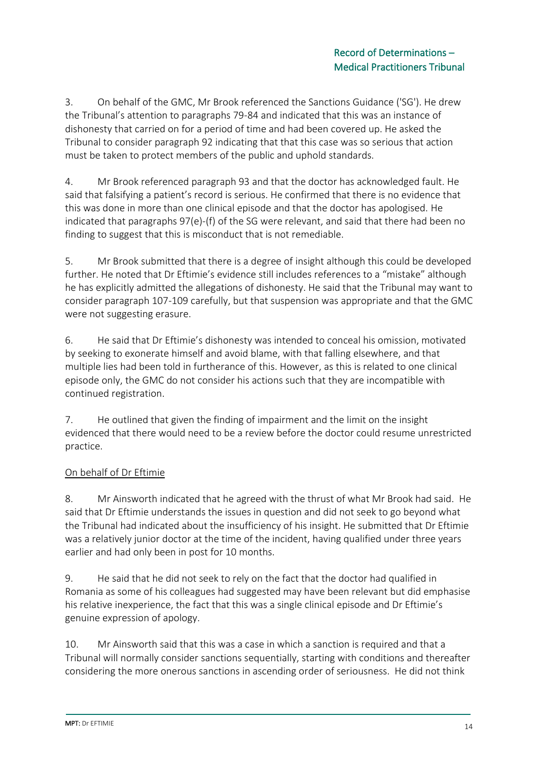3. On behalf of the GMC, Mr Brook referenced the Sanctions Guidance ('SG'). He drew the Tribunal's attention to paragraphs 79-84 and indicated that this was an instance of dishonesty that carried on for a period of time and had been covered up. He asked the Tribunal to consider paragraph 92 indicating that that this case was so serious that action must be taken to protect members of the public and uphold standards.

4. Mr Brook referenced paragraph 93 and that the doctor has acknowledged fault. He said that falsifying a patient's record is serious. He confirmed that there is no evidence that this was done in more than one clinical episode and that the doctor has apologised. He indicated that paragraphs 97(e)-(f) of the SG were relevant, and said that there had been no finding to suggest that this is misconduct that is not remediable.

5. Mr Brook submitted that there is a degree of insight although this could be developed further. He noted that Dr Eftimie's evidence still includes references to a "mistake" although he has explicitly admitted the allegations of dishonesty. He said that the Tribunal may want to consider paragraph 107-109 carefully, but that suspension was appropriate and that the GMC were not suggesting erasure.

6. He said that Dr Eftimie's dishonesty was intended to conceal his omission, motivated by seeking to exonerate himself and avoid blame, with that falling elsewhere, and that multiple lies had been told in furtherance of this. However, as this is related to one clinical episode only, the GMC do not consider his actions such that they are incompatible with continued registration.

7. He outlined that given the finding of impairment and the limit on the insight evidenced that there would need to be a review before the doctor could resume unrestricted practice.

# On behalf of Dr Eftimie

8. Mr Ainsworth indicated that he agreed with the thrust of what Mr Brook had said. He said that Dr Eftimie understands the issues in question and did not seek to go beyond what the Tribunal had indicated about the insufficiency of his insight. He submitted that Dr Eftimie was a relatively junior doctor at the time of the incident, having qualified under three years earlier and had only been in post for 10 months.

9. He said that he did not seek to rely on the fact that the doctor had qualified in Romania as some of his colleagues had suggested may have been relevant but did emphasise his relative inexperience, the fact that this was a single clinical episode and Dr Eftimie's genuine expression of apology.

10. Mr Ainsworth said that this was a case in which a sanction is required and that a Tribunal will normally consider sanctions sequentially, starting with conditions and thereafter considering the more onerous sanctions in ascending order of seriousness. He did not think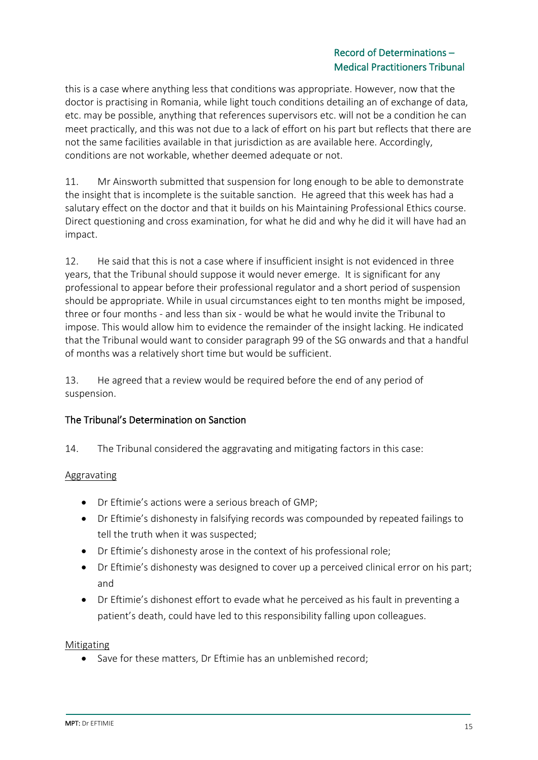this is a case where anything less that conditions was appropriate. However, now that the doctor is practising in Romania, while light touch conditions detailing an of exchange of data, etc. may be possible, anything that references supervisors etc. will not be a condition he can meet practically, and this was not due to a lack of effort on his part but reflects that there are not the same facilities available in that jurisdiction as are available here. Accordingly, conditions are not workable, whether deemed adequate or not.

11. Mr Ainsworth submitted that suspension for long enough to be able to demonstrate the insight that is incomplete is the suitable sanction. He agreed that this week has had a salutary effect on the doctor and that it builds on his Maintaining Professional Ethics course. Direct questioning and cross examination, for what he did and why he did it will have had an impact.

12. He said that this is not a case where if insufficient insight is not evidenced in three years, that the Tribunal should suppose it would never emerge. It is significant for any professional to appear before their professional regulator and a short period of suspension should be appropriate. While in usual circumstances eight to ten months might be imposed, three or four months - and less than six - would be what he would invite the Tribunal to impose. This would allow him to evidence the remainder of the insight lacking. He indicated that the Tribunal would want to consider paragraph 99 of the SG onwards and that a handful of months was a relatively short time but would be sufficient.

13. He agreed that a review would be required before the end of any period of suspension.

# The Tribunal's Determination on Sanction

14. The Tribunal considered the aggravating and mitigating factors in this case:

# Aggravating

- Dr Eftimie's actions were a serious breach of GMP;
- Dr Eftimie's dishonesty in falsifying records was compounded by repeated failings to tell the truth when it was suspected;
- Dr Eftimie's dishonesty arose in the context of his professional role;
- Dr Eftimie's dishonesty was designed to cover up a perceived clinical error on his part; and
- Dr Eftimie's dishonest effort to evade what he perceived as his fault in preventing a patient's death, could have led to this responsibility falling upon colleagues.

Mitigating

• Save for these matters, Dr Eftimie has an unblemished record;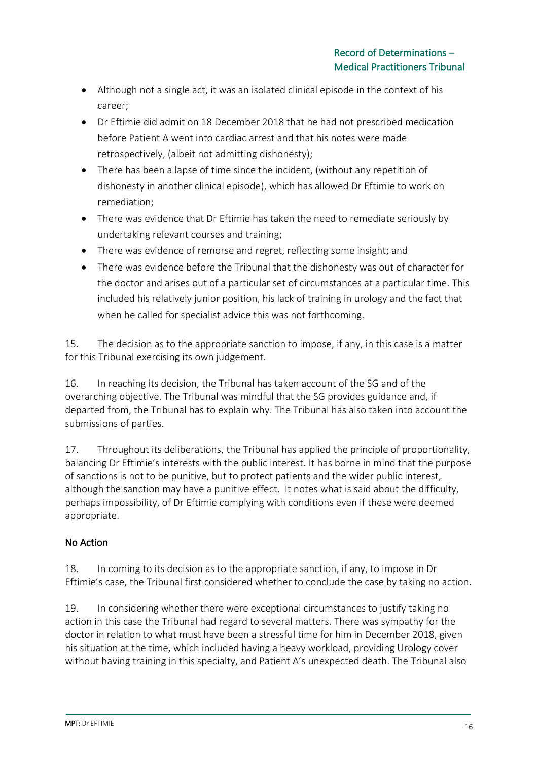- Although not a single act, it was an isolated clinical episode in the context of his career;
- Dr Eftimie did admit on 18 December 2018 that he had not prescribed medication before Patient A went into cardiac arrest and that his notes were made retrospectively, (albeit not admitting dishonesty);
- There has been a lapse of time since the incident, (without any repetition of dishonesty in another clinical episode), which has allowed Dr Eftimie to work on remediation;
- There was evidence that Dr Eftimie has taken the need to remediate seriously by undertaking relevant courses and training;
- There was evidence of remorse and regret, reflecting some insight; and
- There was evidence before the Tribunal that the dishonesty was out of character for the doctor and arises out of a particular set of circumstances at a particular time. This included his relatively junior position, his lack of training in urology and the fact that when he called for specialist advice this was not forthcoming.

15. The decision as to the appropriate sanction to impose, if any, in this case is a matter for this Tribunal exercising its own judgement.

16. In reaching its decision, the Tribunal has taken account of the SG and of the overarching objective. The Tribunal was mindful that the SG provides guidance and, if departed from, the Tribunal has to explain why. The Tribunal has also taken into account the submissions of parties.

17. Throughout its deliberations, the Tribunal has applied the principle of proportionality, balancing Dr Eftimie's interests with the public interest. It has borne in mind that the purpose of sanctions is not to be punitive, but to protect patients and the wider public interest, although the sanction may have a punitive effect. It notes what is said about the difficulty, perhaps impossibility, of Dr Eftimie complying with conditions even if these were deemed appropriate.

# No Action

18. In coming to its decision as to the appropriate sanction, if any, to impose in Dr Eftimie's case, the Tribunal first considered whether to conclude the case by taking no action.

19. In considering whether there were exceptional circumstances to justify taking no action in this case the Tribunal had regard to several matters. There was sympathy for the doctor in relation to what must have been a stressful time for him in December 2018, given his situation at the time, which included having a heavy workload, providing Urology cover without having training in this specialty, and Patient A's unexpected death. The Tribunal also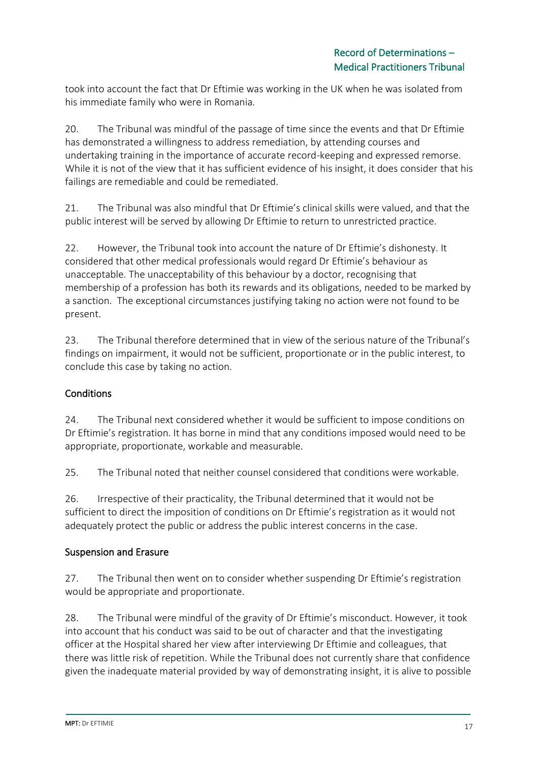took into account the fact that Dr Eftimie was working in the UK when he was isolated from his immediate family who were in Romania.

20. The Tribunal was mindful of the passage of time since the events and that Dr Eftimie has demonstrated a willingness to address remediation, by attending courses and undertaking training in the importance of accurate record-keeping and expressed remorse. While it is not of the view that it has sufficient evidence of his insight, it does consider that his failings are remediable and could be remediated.

21. The Tribunal was also mindful that Dr Eftimie's clinical skills were valued, and that the public interest will be served by allowing Dr Eftimie to return to unrestricted practice.

22. However, the Tribunal took into account the nature of Dr Eftimie's dishonesty. It considered that other medical professionals would regard Dr Eftimie's behaviour as unacceptable. The unacceptability of this behaviour by a doctor, recognising that membership of a profession has both its rewards and its obligations, needed to be marked by a sanction. The exceptional circumstances justifying taking no action were not found to be present.

23. The Tribunal therefore determined that in view of the serious nature of the Tribunal's findings on impairment, it would not be sufficient, proportionate or in the public interest, to conclude this case by taking no action.

# **Conditions**

24. The Tribunal next considered whether it would be sufficient to impose conditions on Dr Eftimie's registration. It has borne in mind that any conditions imposed would need to be appropriate, proportionate, workable and measurable.

25. The Tribunal noted that neither counsel considered that conditions were workable

26. Irrespective of their practicality, the Tribunal determined that it would not be sufficient to direct the imposition of conditions on Dr Eftimie's registration as it would not adequately protect the public or address the public interest concerns in the case.

# Suspension and Erasure

27. The Tribunal then went on to consider whether suspending Dr Eftimie's registration would be appropriate and proportionate.

28. The Tribunal were mindful of the gravity of Dr Eftimie's misconduct. However, it took into account that his conduct was said to be out of character and that the investigating officer at the Hospital shared her view after interviewing Dr Eftimie and colleagues, that there was little risk of repetition. While the Tribunal does not currently share that confidence given the inadequate material provided by way of demonstrating insight, it is alive to possible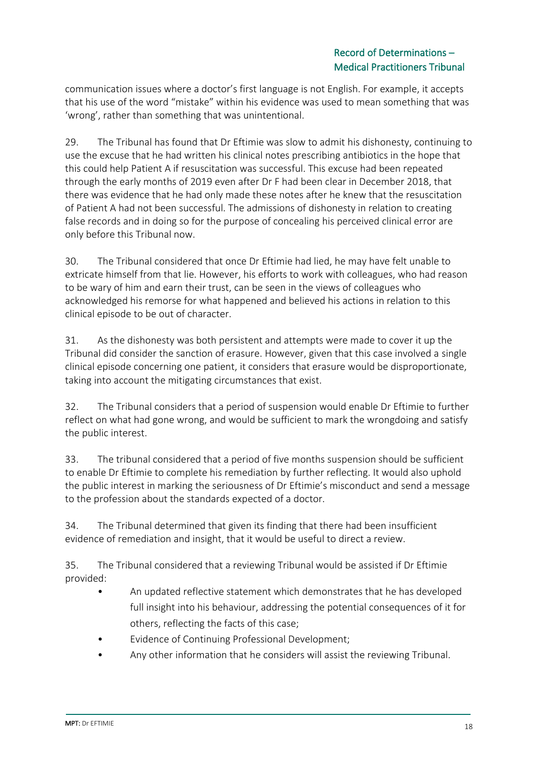communication issues where a doctor's first language is not English. For example, it accepts that his use of the word "mistake" within his evidence was used to mean something that was 'wrong', rather than something that was unintentional.

29. The Tribunal has found that Dr Eftimie was slow to admit his dishonesty, continuing to use the excuse that he had written his clinical notes prescribing antibiotics in the hope that this could help Patient A if resuscitation was successful. This excuse had been repeated through the early months of 2019 even after Dr F had been clear in December 2018, that there was evidence that he had only made these notes after he knew that the resuscitation of Patient A had not been successful. The admissions of dishonesty in relation to creating false records and in doing so for the purpose of concealing his perceived clinical error are only before this Tribunal now.

30. The Tribunal considered that once Dr Eftimie had lied, he may have felt unable to extricate himself from that lie. However, his efforts to work with colleagues, who had reason to be wary of him and earn their trust, can be seen in the views of colleagues who acknowledged his remorse for what happened and believed his actions in relation to this clinical episode to be out of character.

31. As the dishonesty was both persistent and attempts were made to cover it up the Tribunal did consider the sanction of erasure. However, given that this case involved a single clinical episode concerning one patient, it considers that erasure would be disproportionate, taking into account the mitigating circumstances that exist.

32. The Tribunal considers that a period of suspension would enable Dr Eftimie to further reflect on what had gone wrong, and would be sufficient to mark the wrongdoing and satisfy the public interest.

33. The tribunal considered that a period of five months suspension should be sufficient to enable Dr Eftimie to complete his remediation by further reflecting. It would also uphold the public interest in marking the seriousness of Dr Eftimie's misconduct and send a message to the profession about the standards expected of a doctor.

34. The Tribunal determined that given its finding that there had been insufficient evidence of remediation and insight, that it would be useful to direct a review.

35. The Tribunal considered that a reviewing Tribunal would be assisted if Dr Eftimie provided:

- An updated reflective statement which demonstrates that he has developed full insight into his behaviour, addressing the potential consequences of it for others, reflecting the facts of this case;
- Evidence of Continuing Professional Development;
- Any other information that he considers will assist the reviewing Tribunal.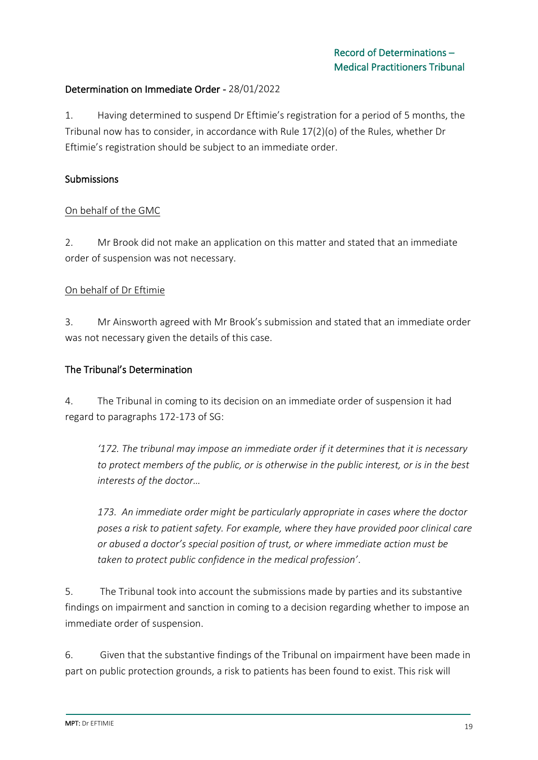## Determination on Immediate Order - 28/01/2022

1. Having determined to suspend Dr Eftimie's registration for a period of 5 months, the Tribunal now has to consider, in accordance with Rule 17(2)(o) of the Rules, whether Dr Eftimie's registration should be subject to an immediate order.

### Submissions

### On behalf of the GMC

2. Mr Brook did not make an application on this matter and stated that an immediate order of suspension was not necessary.

#### On behalf of Dr Eftimie

3. Mr Ainsworth agreed with Mr Brook's submission and stated that an immediate order was not necessary given the details of this case.

#### The Tribunal's Determination

4. The Tribunal in coming to its decision on an immediate order of suspension it had regard to paragraphs 172-173 of SG:

*'172. The tribunal may impose an immediate order if it determines that it is necessary to protect members of the public, or is otherwise in the public interest, or is in the best interests of the doctor…*

*173. An immediate order might be particularly appropriate in cases where the doctor poses a risk to patient safety. For example, where they have provided poor clinical care or abused a doctor's special position of trust, or where immediate action must be taken to protect public confidence in the medical profession'*.

5. The Tribunal took into account the submissions made by parties and its substantive findings on impairment and sanction in coming to a decision regarding whether to impose an immediate order of suspension.

6. Given that the substantive findings of the Tribunal on impairment have been made in part on public protection grounds, a risk to patients has been found to exist. This risk will